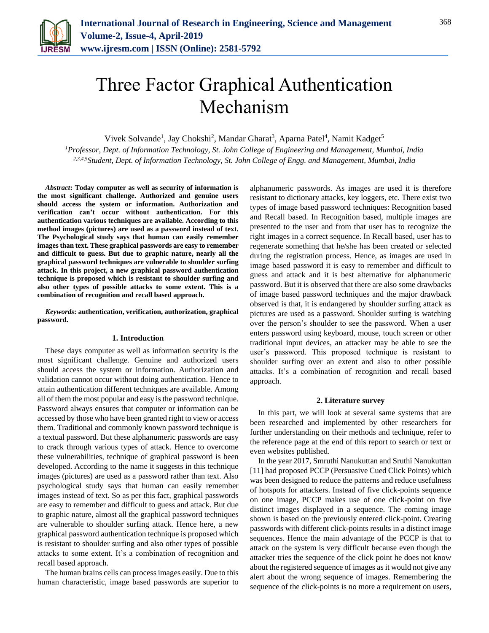

# Three Factor Graphical Authentication Mechanism

Vivek Solvande<sup>1</sup>, Jay Chokshi<sup>2</sup>, Mandar Gharat<sup>3</sup>, Aparna Patel<sup>4</sup>, Namit Kadget<sup>5</sup>

*<sup>1</sup>Professor, Dept. of Information Technology, St. John College of Engineering and Management, Mumbai, India 2,3,4,5Student, Dept. of Information Technology, St. John College of Engg. and Management, Mumbai, India*

*Abstract***: Today computer as well as security of information is the most significant challenge. Authorized and genuine users should access the system or information. Authorization and verification can't occur without authentication. For this authentication various techniques are available. According to this method images (pictures) are used as a password instead of text. The Psychological study says that human can easily remember images than text. These graphical passwords are easy to remember and difficult to guess. But due to graphic nature, nearly all the graphical password techniques are vulnerable to shoulder surfing attack. In this project, a new graphical password authentication technique is proposed which is resistant to shoulder surfing and also other types of possible attacks to some extent. This is a combination of recognition and recall based approach.**

*Keywords***: authentication, verification, authorization, graphical password.**

#### **1. Introduction**

These days computer as well as information security is the most significant challenge. Genuine and authorized users should access the system or information. Authorization and validation cannot occur without doing authentication. Hence to attain authentication different techniques are available. Among all of them the most popular and easy is the password technique. Password always ensures that computer or information can be accessed by those who have been granted right to view or access them. Traditional and commonly known password technique is a textual password. But these alphanumeric passwords are easy to crack through various types of attack. Hence to overcome these vulnerabilities, technique of graphical password is been developed. According to the name it suggests in this technique images (pictures) are used as a password rather than text. Also psychological study says that human can easily remember images instead of text. So as per this fact, graphical passwords are easy to remember and difficult to guess and attack. But due to graphic nature, almost all the graphical password techniques are vulnerable to shoulder surfing attack. Hence here, a new graphical password authentication technique is proposed which is resistant to shoulder surfing and also other types of possible attacks to some extent. It's a combination of recognition and recall based approach.

The human brains cells can process images easily. Due to this human characteristic, image based passwords are superior to alphanumeric passwords. As images are used it is therefore resistant to dictionary attacks, key loggers, etc. There exist two types of image based password techniques: Recognition based and Recall based. In Recognition based, multiple images are presented to the user and from that user has to recognize the right images in a correct sequence. In Recall based, user has to regenerate something that he/she has been created or selected during the registration process. Hence, as images are used in image based password it is easy to remember and difficult to guess and attack and it is best alternative for alphanumeric password. But it is observed that there are also some drawbacks of image based password techniques and the major drawback observed is that, it is endangered by shoulder surfing attack as pictures are used as a password. Shoulder surfing is watching over the person's shoulder to see the password. When a user enters password using keyboard, mouse, touch screen or other traditional input devices, an attacker may be able to see the user's password. This proposed technique is resistant to shoulder surfing over an extent and also to other possible attacks. It's a combination of recognition and recall based approach.

### **2. Literature survey**

In this part, we will look at several same systems that are been researched and implemented by other researchers for further understanding on their methods and technique, refer to the reference page at the end of this report to search or text or even websites published.

In the year 2017, Smruthi Nanukuttan and Sruthi Nanukuttan [11] had proposed PCCP (Persuasive Cued Click Points) which was been designed to reduce the patterns and reduce usefulness of hotspots for attackers. Instead of five click-points sequence on one image, PCCP makes use of one click-point on five distinct images displayed in a sequence. The coming image shown is based on the previously entered click-point. Creating passwords with different click-points results in a distinct image sequences. Hence the main advantage of the PCCP is that to attack on the system is very difficult because even though the attacker tries the sequence of the click point he does not know about the registered sequence of images as it would not give any alert about the wrong sequence of images. Remembering the sequence of the click-points is no more a requirement on users,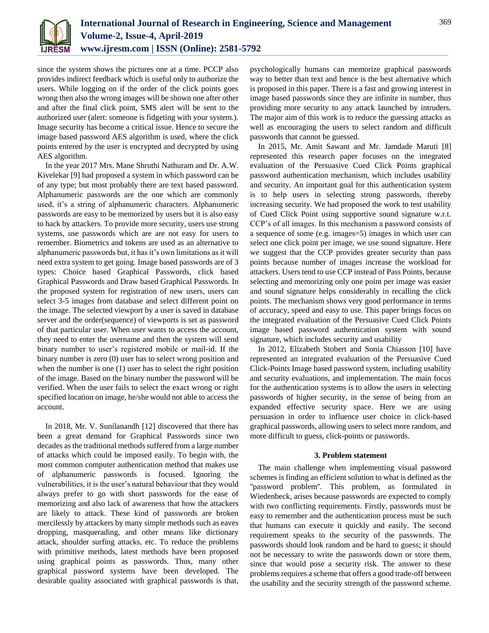

since the system shows the pictures one at a time. PCCP also provides indirect feedback which is useful only to authorize the users. While logging on if the order of the click points goes wrong then also the wrong images will be shown one after other and after the final click point, SMS alert will be sent to the authorized user (alert: someone is fidgeting with your system.). Image security has become a critical issue. Hence to secure the image based password AES algorithm is used, where the click points entered by the user is encrypted and decrypted by using AES algorithm.

In the year 2017 Mrs. Mane Shruthi Nathuram and Dr. A.W. Kivelekar [9] had proposed a system in which password can be of any type; but most probably there are text based password. Alphanumeric passwords are the one which are commonly used, it's a string of alphanumeric characters. Alphanumeric passwords are easy to be memorized by users but it is also easy to hack by attackers. To provide more security, users use strong systems, use passwords which are are not easy for users to remember. Biometrics and tokens are used as an alternative to alphanumeric passwords but, it has it's own limitations as it will need extra system to get going. Image based passwords are of 3 types: Choice based Graphical Passwords, click based Graphical Passwords and Draw based Graphical Passwords. In the proposed system for registration of new users, users can select 3-5 images from database and select different point on the image. The selected viewport by a user is saved in database server and the order(sequence) of viewports is set as password of that particular user. When user wants to access the account, they need to enter the username and then the system will send binary number to user's registered mobile or mail-id. If the binary number is zero (0) user has to select wrong position and when the number is one (1) user has to select the right position of the image. Based on the binary number the password will be verified. When the user fails to select the exact wrong or right specified location on image, he/she would not able to access the account.

In 2018, Mr. V. Sunilanandh [12] discovered that there has been a great demand for Graphical Passwords since two decades as the traditional methods suffered from a large number of attacks which could be imposed easily. To begin with, the most common computer authentication method that makes use of alphanumeric passwords is focused. Ignoring the vulnerabilities, it is the user's natural behaviour that they would always prefer to go with short passwords for the ease of memorizing and also lack of awareness that how the attackers are likely to attack. These kind of passwords are broken mercilessly by attackers by many simple methods such as eaves dropping, masquerading, and other means like dictionary attack, shoulder surfing attacks, etc. To reduce the problems with primitive methods, latest methods have been proposed using graphical points as passwords. Thus, many other graphical password systems have been developed. The desirable quality associated with graphical passwords is that,

psychologically humans can memorize graphical passwords way to better than text and hence is the best alternative which is proposed in this paper. There is a fast and growing interest in image based passwords since they are infinite in number, thus providing more security to any attack launched by intruders. The major aim of this work is to reduce the guessing attacks as well as encouraging the users to select random and difficult passwords that cannot be guessed.

In 2015, Mr. Amit Sawant and Mr. Jamdade Maruti [8] represented this research paper focuses on the integrated evaluation of the Persuasive Cued Click Points graphical password authentication mechanism, which includes usability and security. An important goal for this authentication system is to help users in selecting strong passwords, thereby increasing security. We had proposed the work to test usability of Cued Click Point using supportive sound signature w.r.t. CCP's of all images. In this mechanism a password consists of a sequence of some (e.g. images=5) images in which user can select one click point per image, we use sound signature. Here we suggest that the CCP provides greater security than pass points because number of images increase the workload for attackers. Users tend to use CCP instead of Pass Points, because selecting and memorizing only one point per image was easier and sound signature helps considerably in recalling the click points. The mechanism shows very good performance in terms of accuracy, speed and easy to use. This paper brings focus on the integrated evaluation of the Persuasive Cued Click Points image based password authentication system with sound signature, which includes security and usability

In 2012, Elizabeth Stobert and Sonia Chiasson [10] have represented an integrated evaluation of the Persuasive Cued Click-Points Image based password system, including usability and security evaluations, and implementation. The main focus for the authentication systems is to allow the users in selecting passwords of higher security, in the sense of being from an expanded effective security space. Here we are using persuasion in order to influence user choice in click-based graphical passwords, allowing users to select more random, and more difficult to guess, click-points or passwords.

# **3. Problem statement**

The main challenge when implementing visual password schemes is finding an efficient solution to what is defined as the ''password problem''. This problem, as formulated in Wiedenbeck, arises because passwords are expected to comply with two conflicting requirements. Firstly, passwords must be easy to remember and the authentication process must be such that humans can execute it quickly and easily. The second requirement speaks to the security of the passwords. The passwords should look random and be hard to guess; it should not be necessary to write the passwords down or store them, since that would pose a security risk. The answer to these problems requires a scheme that offers a good trade-off between the usability and the security strength of the password scheme.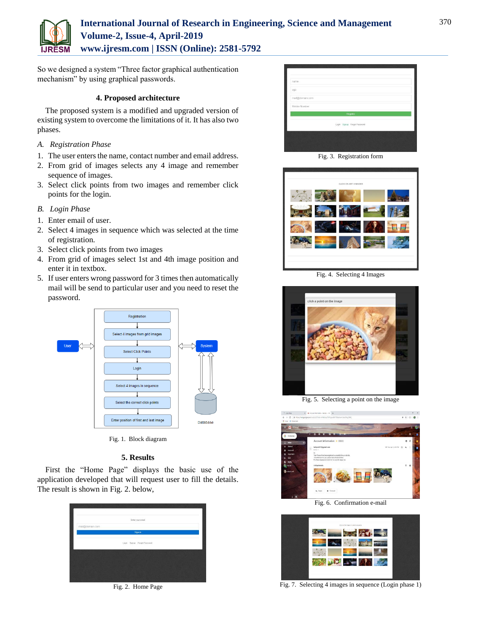

# **International Journal of Research in Engineering, Science and Management Volume-2, Issue-4, April-2019 www.ijresm.com | ISSN (Online): 2581-5792**

So we designed a system "Three factor graphical authentication mechanism" by using graphical passwords.

# **4. Proposed architecture**

The proposed system is a modified and upgraded version of existing system to overcome the limitations of it. It has also two phases.

- *A. Registration Phase*
- 1. The user enters the name, contact number and email address.
- 2. From grid of images selects any 4 image and remember sequence of images.
- 3. Select click points from two images and remember click points for the login.
- *B. Login Phase*
- 1. Enter email of user.
- 2. Select 4 images in sequence which was selected at the time of registration.
- 3. Select click points from two images
- 4. From grid of images select 1st and 4th image position and enter it in textbox.
- 5. If user enters wrong password for 3 times then automatically mail will be send to particular user and you need to reset the password.



Fig. 1. Block diagram

# **5. Results**

First the "Home Page" displays the basic use of the application developed that will request user to fill the details. The result is shown in Fig. 2. below,



Fig. 2. Home Page



Fig. 3. Registration form



Fig. 4. Selecting 4 Images



Fig. 5. Selecting a point on the image



Fig. 6. Confirmation e-mail



Fig. 7. Selecting 4 images in sequence (Login phase 1)